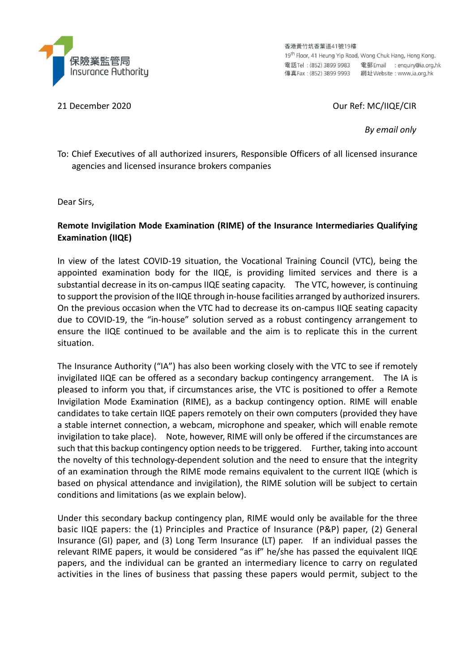

香港黃竹坑香葉道41號19樓 19<sup>th</sup> Floor, 41 Heung Yip Road, Wong Chuk Hang, Hong Kong. 電話Tel: (852) 3899 9983 電郵 Email : enquiry@ia.org.hk 

21 December 2020 Our Ref: MC/IIQE/CIR

By email only

To: Chief Executives of all authorized insurers, Responsible Officers of all licensed insurance agencies and licensed insurance brokers companies

Dear Sirs,

### Remote Invigilation Mode Examination (RIME) of the Insurance Intermediaries Qualifying Examination (IIQE)

In view of the latest COVID-19 situation, the Vocational Training Council (VTC), being the appointed examination body for the IIQE, is providing limited services and there is a substantial decrease in its on-campus IIQE seating capacity. The VTC, however, is continuing to support the provision of the IIQE through in-house facilities arranged by authorized insurers. On the previous occasion when the VTC had to decrease its on-campus IIQE seating capacity due to COVID-19, the "in-house" solution served as a robust contingency arrangement to ensure the IIQE continued to be available and the aim is to replicate this in the current situation.

The Insurance Authority ("IA") has also been working closely with the VTC to see if remotely invigilated IIQE can be offered as a secondary backup contingency arrangement. The IA is pleased to inform you that, if circumstances arise, the VTC is positioned to offer a Remote Invigilation Mode Examination (RIME), as a backup contingency option. RIME will enable candidates to take certain IIQE papers remotely on their own computers (provided they have a stable internet connection, a webcam, microphone and speaker, which will enable remote invigilation to take place). Note, however, RIME will only be offered if the circumstances are such that this backup contingency option needs to be triggered. Further, taking into account the novelty of this technology-dependent solution and the need to ensure that the integrity of an examination through the RIME mode remains equivalent to the current IIQE (which is based on physical attendance and invigilation), the RIME solution will be subject to certain conditions and limitations (as we explain below).

Under this secondary backup contingency plan, RIME would only be available for the three basic IIQE papers: the (1) Principles and Practice of Insurance (P&P) paper, (2) General Insurance (GI) paper, and (3) Long Term Insurance (LT) paper. If an individual passes the relevant RIME papers, it would be considered "as if" he/she has passed the equivalent IIQE papers, and the individual can be granted an intermediary licence to carry on regulated activities in the lines of business that passing these papers would permit, subject to the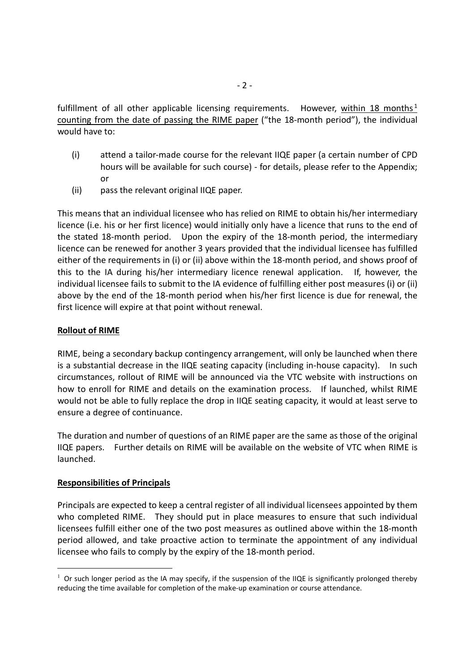fulfillment of all other applicable licensing requirements. However, within 18 months<sup>1</sup> counting from the date of passing the RIME paper ("the 18-month period"), the individual would have to:

- (i) attend a tailor-made course for the relevant IIQE paper (a certain number of CPD hours will be available for such course) - for details, please refer to the Appendix; or
- (ii) pass the relevant original IIQE paper.

This means that an individual licensee who has relied on RIME to obtain his/her intermediary licence (i.e. his or her first licence) would initially only have a licence that runs to the end of the stated 18-month period. Upon the expiry of the 18-month period, the intermediary licence can be renewed for another 3 years provided that the individual licensee has fulfilled either of the requirements in (i) or (ii) above within the 18-month period, and shows proof of this to the IA during his/her intermediary licence renewal application. If, however, the individual licensee fails to submit to the IA evidence of fulfilling either post measures (i) or (ii) above by the end of the 18-month period when his/her first licence is due for renewal, the first licence will expire at that point without renewal.

#### Rollout of RIME

RIME, being a secondary backup contingency arrangement, will only be launched when there is a substantial decrease in the IIQE seating capacity (including in-house capacity). In such circumstances, rollout of RIME will be announced via the VTC website with instructions on how to enroll for RIME and details on the examination process. If launched, whilst RIME would not be able to fully replace the drop in IIQE seating capacity, it would at least serve to ensure a degree of continuance.

The duration and number of questions of an RIME paper are the same as those of the original IIQE papers. Further details on RIME will be available on the website of VTC when RIME is launched.

#### Responsibilities of Principals

-

Principals are expected to keep a central register of all individual licensees appointed by them who completed RIME. They should put in place measures to ensure that such individual licensees fulfill either one of the two post measures as outlined above within the 18-month period allowed, and take proactive action to terminate the appointment of any individual licensee who fails to comply by the expiry of the 18-month period.

<sup>&</sup>lt;sup>1</sup> Or such longer period as the IA may specify, if the suspension of the IIQE is significantly prolonged thereby reducing the time available for completion of the make-up examination or course attendance.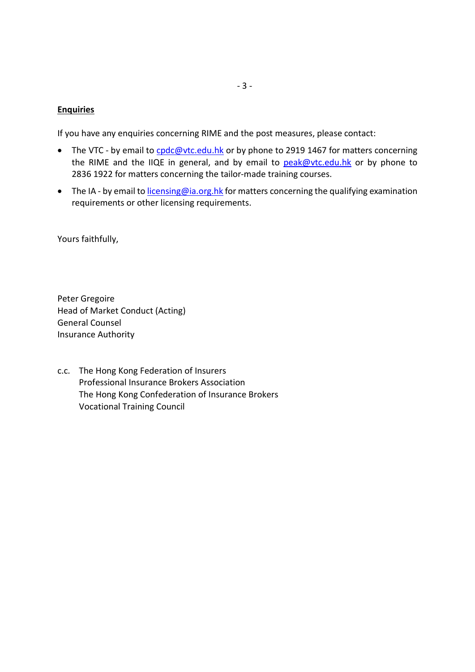#### **Enquiries**

If you have any enquiries concerning RIME and the post measures, please contact:

- The VTC by email to cpdc@vtc.edu.hk or by phone to 2919 1467 for matters concerning the RIME and the IIQE in general, and by email to peak@vtc.edu.hk or by phone to 2836 1922 for matters concerning the tailor-made training courses.
- The IA by email to *licensing@ia.org.hk* for matters concerning the qualifying examination requirements or other licensing requirements.

Yours faithfully,

Peter Gregoire Head of Market Conduct (Acting) General Counsel Insurance Authority

c.c. The Hong Kong Federation of Insurers Professional Insurance Brokers Association The Hong Kong Confederation of Insurance Brokers Vocational Training Council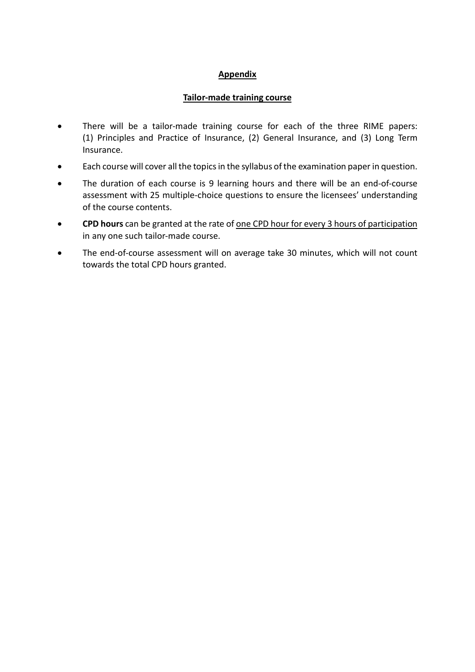# Appendix

### Tailor-made training course

- There will be a tailor-made training course for each of the three RIME papers: (1) Principles and Practice of Insurance, (2) General Insurance, and (3) Long Term Insurance.
- Each course will cover all the topics in the syllabus of the examination paper in question.
- The duration of each course is 9 learning hours and there will be an end-of-course assessment with 25 multiple-choice questions to ensure the licensees' understanding of the course contents.
- CPD hours can be granted at the rate of <u>one CPD hour for every 3 hours of participation</u> in any one such tailor-made course.
- The end-of-course assessment will on average take 30 minutes, which will not count towards the total CPD hours granted.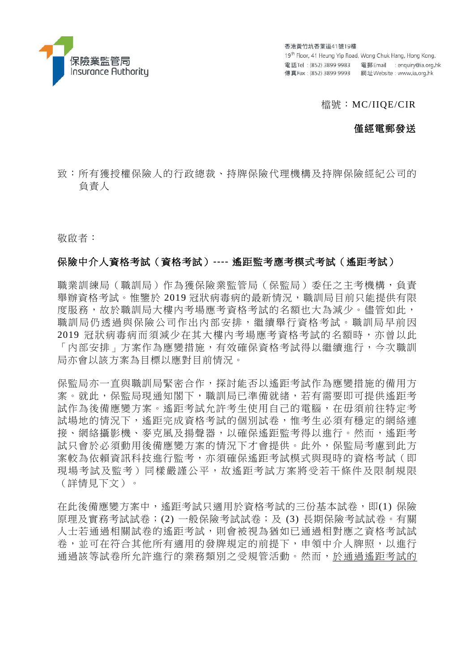

香港黃竹坑香葉道41號19樓 19th Floor, 41 Heung Yip Road, Wong Chuk Hang, Hong Kong. 電話Tel: (852) 3899 9983 電郵 Email : enquiry@ia.org.hk 

#### 檔號:MC/IIQE/CIR

### 僅經電郵發送

致:所有獲授權保險人的行政總裁、持牌保險代理機構及持牌保險經紀公司的 負責人

敬啟者:

### 保險中介人資格考試(資格考試)**----** 遙距監考應考模式考試(遙距考試)

職業訓練局(職訓局)作為獲保險業監管局(保監局)委任之主考機構,負責 舉辦資格考試。惟鑒於 2019 冠狀病毒病的最新情況,職訓局目前只能提供有限 度服務,故於職訓局大樓內考場應考資格考試的名額也大為減少。儘管如此, 職訓局仍透過與保險公司作出內部安排,繼續舉行資格考試。職訓局早前因 2019 冠狀病毒病而須減少在其大樓內考場應考資格考試的名額時,亦曾以此 「內部安排」方案作為應變措施,有效確保資格考試得以繼續進行,今次職訓 局亦會以該方案為目標以應對目前情況。

保監局亦一直與職訓局緊密合作,探討能否以遙距考試作為應變措施的備用方 案。就此,保監局現通知閣下,職訓局已準備就緒,若有需要即可提供遙距考 試作為後備應變方案。遙距考試允許考生使用自己的電腦,在毋須前往特定考 試場地的情況下,遙距完成資格考試的個別試卷,惟考生必須有穩定的網絡連 接、網絡攝影機、麥克風及揚聲器,以確保遙距監考得以進行。然而,遙距考 試只會於必須動用後備應變方案的情況下才會提供。此外,保監局考慮到此方 案較為依賴資訊科技進行監考,亦須確保遙距考試模式與現時的資格考試(即 現場考試及監考)同樣嚴謹公平,故遙距考試方案將受若干條件及限制規限 (詳情見下文)。

在此後備應變方案中,遙距考試只適用於資格考試的三份基本試卷,即(1) 保險 原理及實務考試試卷;(2) 一般保險考試試卷;及 (3) 長期保險考試試卷。有關 人士若通過相關試卷的遙距考試,則會被視為猶如已通過相對應之資格考試試 卷,並可在符合其他所有適用的發牌規定的前提下,申領中介人牌照,以進行 通過該等試卷所允許進行的業務類別之受規管活動。然而,於通過遙距考試的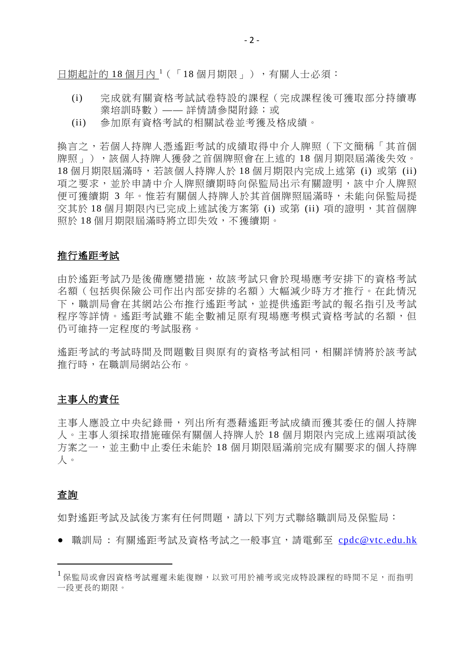日期起計的 [1](#page-5-0)8個月內<sup>1</sup>(「18個月期限」),有關人士必須:

- (i) 完成就有關資格考試試卷特設的課程(完成課程後可獲取部分持續專 業培訓時數)—— 詳情請參閱附錄;或
- (ii) 參加原有資格考試的相關試卷並考獲及格成績。

換言之,若個人持牌人憑遙距考試的成績取得中介人牌照(下文簡稱「其首個 牌照」),該個人持牌人獲發之首個牌照會在上述的 18 個月期限屆滿後失效。 18 個月期限屆滿時,若該個人持牌人於 18 個月期限內完成上述第 (i) 或第 (ii) 項之要求,並於申請中介人牌照續期時向保監局出示有關證明,該中介人牌照 便可獲續期 3 年。惟若有關個人持牌人於其首個牌照屆滿時,未能向保監局提 交其於 18 個月期限內已完成上述試後方案第 (i) 或第 (ii) 項的證明,其首個牌 照於 18 個月期限屆滿時將立即失效,不獲續期。

#### 推行遙距考試

由於遙距考試乃是後備應變措施,故該考試只會於現場應考安排下的資格考試 名額(包括與保險公司作出內部安排的名額)大幅減少時方才推行。在此情況 下,職訓局會在其網站公布推行遙距考試,並提供遙距考試的報名指引及考試 程序等詳情。遙距考試雖不能全數補足原有現場應考模式資格考試的名額,但 仍可維持一定程度的考試服務。

遙距考試的考試時間及問題數目與原有的資格考試相同,相關詳情將於該考試 推行時,在職訓局網站公布。

### 主事人的責任

主事人應設立中央紀錄冊,列出所有憑藉遙距考試成績而獲其委任的個人持牌 人。主事人須採取措施確保有關個人持牌人於 18 個月期限內完成上述兩項試後 方案之一,並主動中止委任未能於 18 個月期限屆滿前完成有關要求的個人持牌 人。

#### 查詢

如對遙距考試及試後方案有任何問題,請以下列方式聯絡職訓局及保監局:

● 職訓局: 有關遙距考試及資格考試之一般事官,請電郵至 [cpdc@vtc.edu.hk](mailto:cpdc@vtc.edu.hk)

<span id="page-5-0"></span> <sup>1</sup> 保監局或會因資格考試遲遲未能復辦,以致可用於補考或完成特設課程的時間不足,而指明 一段更長的期限。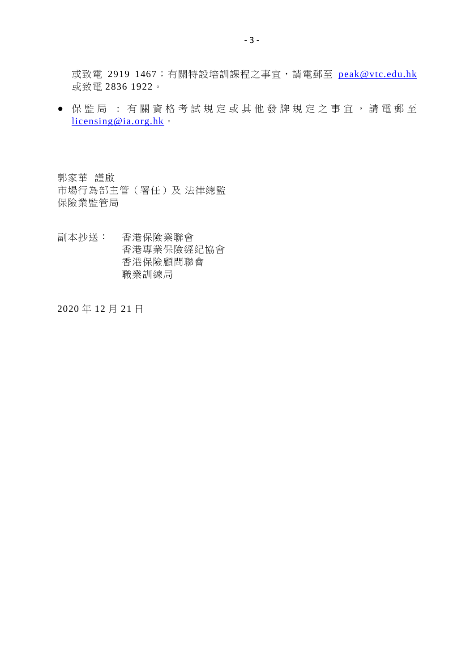或致電 2919 1467;有關特設培訓課程之事宜,請電郵至 [peak@vtc.edu.hk](mailto:peak@vtc.edu.hk) 或致電 2836 1922。

● 保監局 : 有關資格考試規定或其他發牌規定之事宜,請電郵至 [licensing@ia.org.hk](mailto:licensing@ia.org.hk)。

郭家華 謹啟 市場行為部主管(署任)及 法律總監 保險業監管局

副本抄送: 香港保險業聯會 香港專業保險經紀協會 香港保險顧問聯會 職業訓練局

2020 年 12 月 21 日